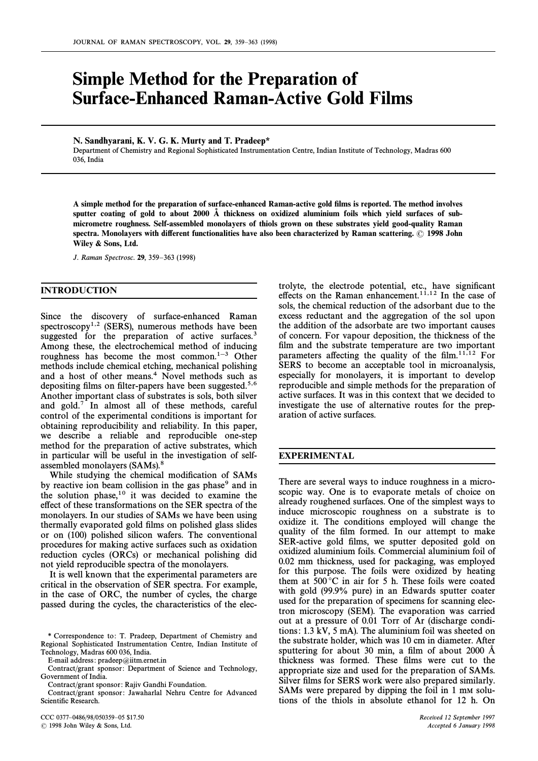# Simple Method for the Preparation of **Surface-Enhanced Raman-Active Gold Films**

N. Sandhyarani, K. V. G. K. Murty and T. Pradeep**\***

Department of Chemistry and Regional Sophisticated Instrumentation Centre, Indian Institute of Technology, Madras 600 036, India

A simple method for the preparation of surface-enhanced Raman-active gold films is reported. The method involves sputter coating of gold to about 2000 Å thickness on oxidized aluminium foils which yield surfaces of submicrometre roughness. Self-assembled monolayers of thiols grown on these substrates yield good-quality Raman spectra. Monolayers with different functionalities have also been characterized by Raman scattering. © 1998 John Wiley & Sons, Ltd.

J. Raman Spectrosc. 29, 359-363 (1998)

## INTRODUCTION

Since the discovery of surface-enhanced Raman spectroscopy<sup>1,2</sup> (SERS), numerous methods have been suggested for the preparation of active surfaces.<sup>3</sup> Among these, the electrochemical method of inducing roughness has become the most common. $1-3$  Other methods include chemical etching, mechanical polishing and a host of other means.<sup>4</sup> Novel methods such as depositing films on filter-papers have been suggested.<sup>5,6</sup> Another important class of substrates is sols, both silver and gold.<sup>7</sup> In almost all of these methods, careful control of the experimental conditions is important for obtaining reproducibility and reliability. In this paper, we describe a reliable and reproducible one-step method for the preparation of active substrates, which in particular will be useful in the investigation of selfassembled monolayers (SAMs).8

While studying the chemical modification of SAMs by reactive ion beam collision in the gas phase<sup>9</sup> and in the solution phase, $10$  it was decided to examine the effect of these transformations on the SER spectra of the monolayers. In our studies of SAMs we have been using thermally evaporated gold films on polished glass slides or on (100) polished silicon wafers. The conventional procedures for making active surfaces such as oxidation reduction cycles (ORCs) or mechanical polishing did not yield reproducible spectra of the monolayers.

It is well known that the experimental parameters are critical in the observation of SER spectra. For example, in the case of ORC, the number of cycles, the charge passed during the cycles, the characteristics of the elec-

E-mail address: pradeep@iitm.ernet.in

CCC 0377-0486/98/050359-05 \$17.50 Received 12 September 1997 ( 1998 John Wiley & Sons, Ltd. Accepted 6 January 1998

trolyte, the electrode potential, etc., have significant effects on the Raman enhancement.<sup>11,12</sup> In the case of sols, the chemical reduction of the adsorbant due to the excess reductant and the aggregation of the sol upon the addition of the adsorbate are two important causes of concern. For vapour deposition, the thickness of the film and the substrate temperature are two important parameters affecting the quality of the film. $11,12$  For SERS to become an acceptable tool in microanalysis, especially for monolayers, it is important to develop reproducible and simple methods for the preparation of active surfaces. It was in this context that we decided to investigate the use of alternative routes for the preparation of active surfaces.

### EXPERIMENTAL

There are several ways to induce roughness in a microscopic way. One is to evaporate metals of choice on already roughened surfaces. One of the simplest ways to induce microscopic roughness on a substrate is to oxidize it. The conditions employed will change the quality of the film formed. In our attempt to make SER-active gold films, we sputter deposited gold on oxidized aluminium foils. Commercial aluminium foil of 0.02 mm thickness, used for packaging, was employed for this purpose. The foils were oxidized by heating them at  $500^{\circ}$ C in air for 5 h. These foils were coated with gold (99.9% pure) in an Edwards sputter coater used for the preparation of specimens for scanning electron microscopy (SEM). The evaporation was carried out at a pressure of 0.01 Torr of Ar (discharge conditions: 1.3 kV, 5 mA). The aluminium foil was sheeted on the substrate holder, which was 10 cm in diameter. After sputtering for about 30 min, a film of about 2000  $\AA$ thickness was formed. These films were cut to the appropriate size and used for the preparation of SAMs. Silver films for SERS work were also prepared similarly. SAMs were prepared by dipping the foil in 1 mm solutions of the thiols in absolute ethanol for 12 h. On

<sup>\*</sup> Correspondence to: T. Pradeep, Department of Chemistry and Regional Sophisticated Instrumentation Centre, Indian Institute of Technology, Madras 600 036, India.

Contract/grant sponsor: Department of Science and Technology, Government of India.

Contract/grant sponsor: Rajiv Gandhi Foundation.

Contract/grant sponsor: Jawaharlal Nehru Centre for Advanced Scientific Research.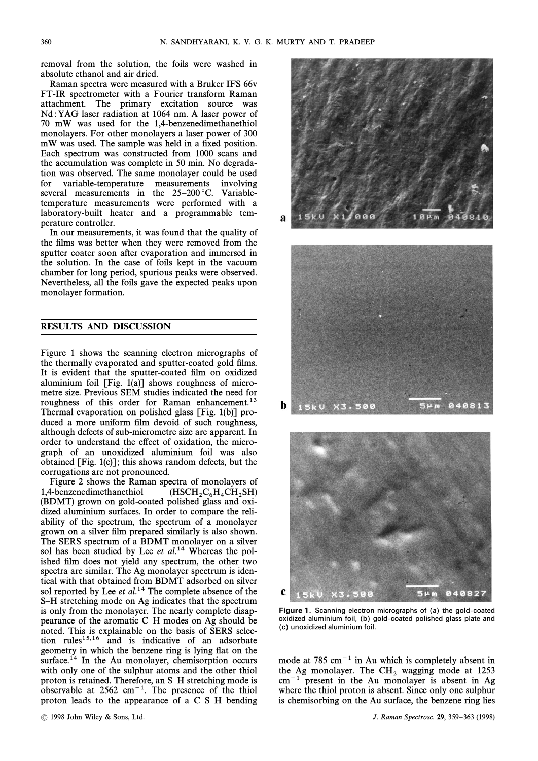removal from the solution, the foils were washed in absolute ethanol and air dried.

Raman spectra were measured with a Bruker IFS 66v FT-IR spectrometer with a Fourier transform Raman attachment. The primary excitation source was Nd :YAG laser radiation at 1064 nm. A laser power of 70 mW was used for the 1,4-benzenedimethanethiol monolayers. For other monolayers a laser power of 300 mW was used. The sample was held in a fixed position. Each spectrum was constructed from 1000 scans and the accumulation was complete in 50 min. No degradation was observed. The same monolayer could be used for variable-temperature measurements involving several measurements in the  $25-200$  °C. Variabletemperature measurements were performed with a laboratory-built heater and a programmable temperature controller.

In our measurements, it was found that the quality of the films was better when they were removed from the sputter coater soon after evaporation and immersed in the solution. In the case of foils kept in the vacuum chamber for long period, spurious peaks were observed. Nevertheless, all the foils gave the expected peaks upon monolayer formation.

### RESULTS AND DISCUSSION

Figure 1 shows the scanning electron micrographs of the thermally evaporated and sputter-coated gold films. It is evident that the sputter-coated film on oxidized aluminium foil [Fig. 1(a)] shows roughness of micrometre size. Previous SEM studies indicated the need for roughness of this order for Raman enhancement.<sup>13</sup> Thermal evaporation on polished glass [Fig. 1(b)] produced a more uniform film devoid of such roughness, although defects of sub-micrometre size are apparent. In order to understand the effect of oxidation, the micrograph of an unoxidized aluminium foil was also obtained [Fig. 1(c)]; this shows random defects, but the corrugations are not pronounced.

Figure 2 shows the Raman spectra of monolayers of 1,4-benzenedimethanethiol ( $HSCH_2C_6H_4CH_2SH$ )<br>(BDMT) grown on gold-coated polished glass and oxi- $C_6H_4CH_2SH$ <br>glass and oxidized aluminium surfaces. In order to compare the reliability of the spectrum, the spectrum of a monolayer grown on a silver film prepared similarly is also shown. The SERS spectrum of a BDMT monolayer on a silver sol has been studied by Lee et  $al.^{14}$  Whereas the polished film does not yield any spectrum, the other two spectra are similar. The Ag monolayer spectrum is identical with that obtained from BDMT adsorbed on silver sol reported by Lee et  $al.^{14}$  The complete absence of the S–H stretching mode on Ag indicates that the spectrum is only from the monolayer. The nearly complete disappearance of the aromatic  $C-H$  modes on Ag should be noted. This is explainable on the basis of SERS selection rules<sup>15,16</sup> and is indicative of an adsorbate geometry in which the benzene ring is lying flat on the surface. $14$  In the Au monolayer, chemisorption occurs with only one of the sulphur atoms and the other thiol proton is retained. Therefore, an S-H stretching mode is observable at  $2562 \text{ cm}^{-1}$ . The presence of the thiol proton leads to the appearance of a  $C-S-H$  bending







**Figure 1.** Scanning electron micrographs of (a) the gold-coated oxidized aluminium foil, (b) gold-coated polished glass plate and (c) unoxidized aluminium foil.

mode at 785 cm<sup>-1</sup> in Au which is completely absent in the Ag monolayer. The CH<sub>2</sub> wagging mode at 1253  $cm^{-1}$  present in the Au monolayer is absent in Ag where the thiol proton is absent. Since only one sulphur is chemisorbing on the Au surface, the benzene ring lies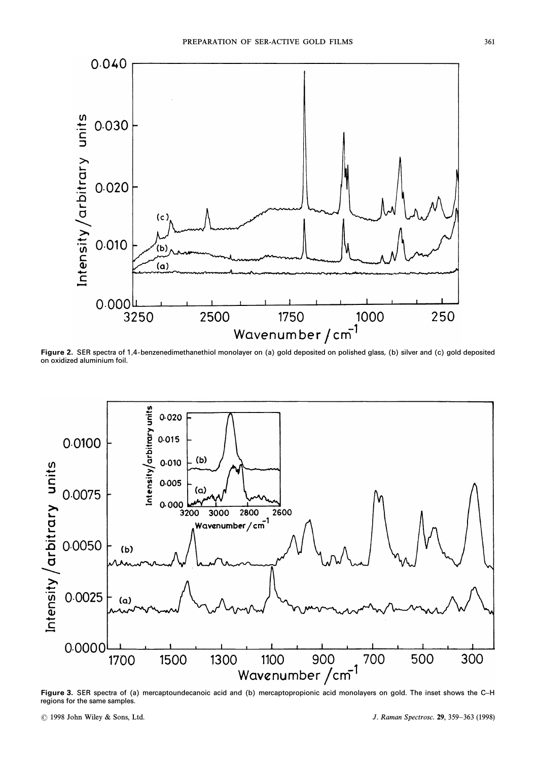

**Figure 2.** SER spectra of 1,4-benzenedimethanethiol monolayer on (a) gold deposited on polished glass, (b) silver and (c) gold deposited on oxidized aluminium foil.



**Figure 3.** SER spectra of (a) mercaptoundecanoic acid and (b) mercaptopropionic acid monolayers on gold. The inset shows the C–H regions for the same samples.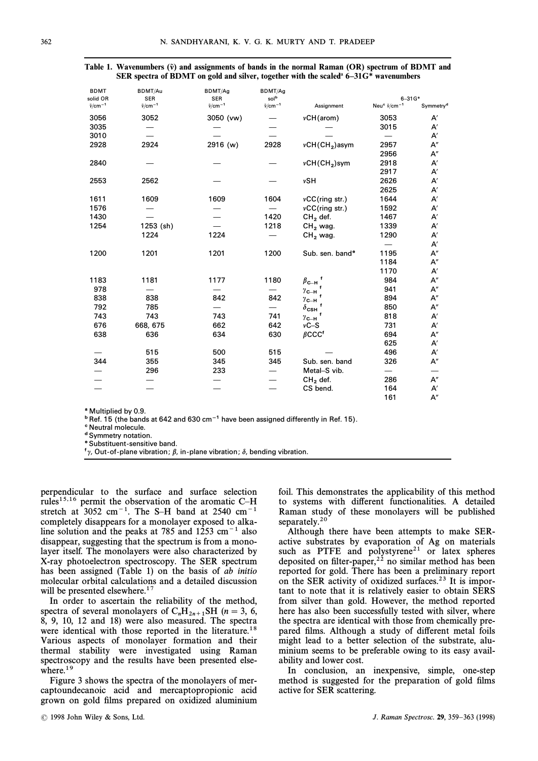| <b>BDMT</b>                     | BDMT/Au                           | BDMT/Ag                           | BDMT/Ag                     |                                    |                                                    |                       |
|---------------------------------|-----------------------------------|-----------------------------------|-----------------------------|------------------------------------|----------------------------------------------------|-----------------------|
| solid OR<br>$\tilde{v}/cm^{-1}$ | <b>SER</b><br>$\tilde{v}/cm^{-1}$ | <b>SER</b><br>$\tilde{v}/cm^{-1}$ | solb<br>$\tilde{v}/cm^{-1}$ | Assignment                         | $6 - 31G*$<br>Neu <sup>e</sup> $\tilde{v}/cm^{-1}$ | Symmetry <sup>d</sup> |
| 3056                            | 3052                              | 3050 (vw)                         |                             | vCH(arom)                          | 3053                                               | A′                    |
| 3035                            |                                   |                                   |                             |                                    | 3015                                               | A′                    |
| 3010                            |                                   |                                   |                             |                                    |                                                    | A′                    |
| 2928                            | 2924                              | 2916 (w)                          | 2928                        | $vCH(CH2)$ asym                    | 2957                                               | A"                    |
|                                 |                                   |                                   |                             |                                    |                                                    |                       |
|                                 |                                   |                                   |                             |                                    | 2956                                               | A"                    |
| 2840                            |                                   |                                   |                             | $vCH(CH2)$ sym                     | 2918                                               | A′                    |
|                                 |                                   |                                   |                             |                                    | 2917                                               | A′                    |
| 2553                            | 2562                              |                                   |                             | vSH                                | 2626                                               | A′                    |
|                                 |                                   |                                   |                             |                                    | 2625                                               | A′                    |
| 1611                            | 1609                              | 1609                              | 1604                        | $vCC$ (ring str.)                  | 1644                                               | A′                    |
| 1576                            |                                   |                                   |                             | $vCC$ (ring str.)                  | 1592                                               | A′                    |
| 1430                            |                                   |                                   | 1420                        | $CH2$ def.                         | 1467                                               | A′                    |
| 1254                            | 1253 (sh)                         |                                   | 1218                        | $CH2$ wag.                         | 1339                                               | A′                    |
|                                 | 1224                              | 1224                              |                             | CH <sub>2</sub> wag.               | 1290                                               | $\mathsf{A}'$         |
|                                 |                                   |                                   |                             |                                    |                                                    | A'                    |
| 1200                            | 1201                              | 1201                              | 1200                        | Sub. sen. band <sup>®</sup>        | 1195                                               | A"                    |
|                                 |                                   |                                   |                             |                                    | 1184                                               | $\mathsf{A}''$        |
|                                 |                                   |                                   |                             |                                    | 1170                                               | A′                    |
| 1183                            | 1181                              | 1177                              | 1180                        | $\beta_{\text{C--H}}$ <sup>f</sup> | 984                                                | A"                    |
| 978                             |                                   |                                   |                             | $\gamma$ с $\mathsf{H}$            | 941                                                | A"                    |
| 838                             | 838                               | 842                               | 842                         | $\gamma$ с $\mathsf{H}$            | 894                                                | A"                    |
| 792                             | 785                               |                                   |                             | $\delta_{\textsf{CSH}}$            | 850                                                | A"                    |
| 743                             | 743                               | 743                               | 741                         | $\gamma$ с $\_$ н                  | 818                                                | A′                    |
| 676                             | 668, 675                          | 662                               | 642                         | $vC-S$                             | 731                                                | A′                    |
| 638                             | 636                               | 634                               | 630                         | $\beta$ CCC <sup>f</sup>           | 694                                                | A"                    |
|                                 |                                   |                                   |                             |                                    | 625                                                | A′                    |
|                                 | 515                               | 500                               | 515                         |                                    | 496                                                | $\mathsf{A}'$         |
| 344                             | 355                               | 345                               | 345                         | Sub. sen. band                     | 326                                                | $\mathsf{A}''$        |
|                                 | 296                               | 233                               |                             | Metal-S vib.                       |                                                    |                       |
|                                 |                                   |                                   |                             | $CH2$ def.                         | 286                                                | A"                    |
|                                 |                                   |                                   |                             | CS bend.                           | 164                                                | $\mathsf{A}'$         |
|                                 |                                   |                                   |                             |                                    | 161                                                | A''                   |
|                                 |                                   |                                   |                             |                                    |                                                    |                       |

|  | Table 1. Wavenumbers ( $\tilde{v}$ ) and assignments of bands in the normal Raman (OR) spectrum of BDMT and |  |  |
|--|-------------------------------------------------------------------------------------------------------------|--|--|
|  | SER spectra of BDMT on gold and silver, together with the scaled $6-31G^*$ wavenumbers                      |  |  |

<sup>a</sup> Multiplied by 0.9.

 $b$  Ref. 15 (the bands at 642 and 630 cm<sup>-1</sup> have been assigned differently in Ref. 15).

c Neutral molecule.

d Symmetry notation.

e Substituent-sensitive band.

 $f_{\gamma}$ , Out-of-plane vibration;  $\beta$ , in-plane vibration;  $\delta$ , bending vibration.

perpendicular to the surface and surface selection rules<sup>15,16</sup> permit the observation of the aromatic C-H stretch at  $3052$  cm<sup>-1</sup>. The S-H band at 2540 cm<sup>-1</sup> completely disappears for a monolayer exposed to alkaline solution and the peaks at 785 and  $1253 \text{ cm}^{-1}$  also disappear, suggesting that the spectrum is from a monolayer itself. The monolayers were also characterized by X-ray photoelectron spectroscopy. The SER spectrum has been assigned (Table 1) on the basis of ab initio molecular orbital calculations and a detailed discussion will be presented elsewhere.<sup>17</sup>

In order to ascertain the reliability of the method, spectra of several monolayers of  $C_nH_{2n+1}SH$  ( $n = 3, 6,$  8, 0, 10, 12, and 18) were also measured. The spectra 8, 9, 10, 12 and 18) were also measured. The spectra were identical with those reported in the literature.<sup>18</sup> Various aspects of monolayer formation and their thermal stability were investigated using Raman spectroscopy and the results have been presented elsewhere. $19$ 

Figure 3 shows the spectra of the monolayers of mercaptoundecanoic acid and mercaptopropionic acid grown on gold films prepared on oxidized aluminium foil. This demonstrates the applicability of this method to systems with different functionalities. A detailed Raman study of these monolayers will be published separately.<sup>20</sup>

Although there have been attempts to make SERactive substrates by evaporation of Ag on materials such as PTFE and polystyrene<sup>21</sup> or latex spheres deposited on filter-paper,<sup>22</sup> no similar method has been reported for gold. There has been a preliminary report on the SER activity of oxidized surfaces.<sup>23</sup> It is important to note that it is relatively easier to obtain SERS from silver than gold. However, the method reported here has also been successfully tested with silver, where the spectra are identical with those from chemically prepared films. Although a study of different metal foils might lead to a better selection of the substrate, aluminium seems to be preferable owing to its easy availability and lower cost.

In conclusion, an inexpensive, simple, one-step method is suggested for the preparation of gold films active for SER scattering.